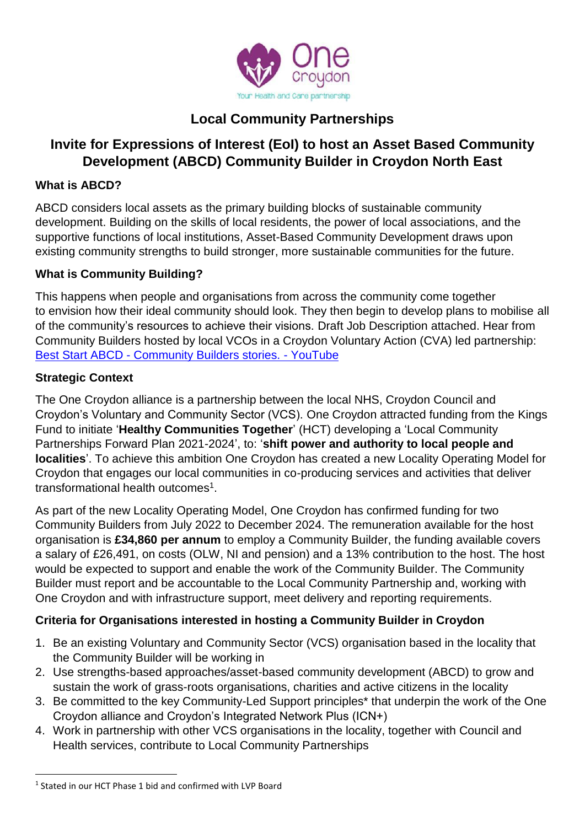

# **Local Community Partnerships**

# **Invite for Expressions of Interest (EoI) to host an Asset Based Community Development (ABCD) Community Builder in Croydon North East**

#### **What is ABCD?**

ABCD considers local assets as the primary building blocks of sustainable community development. Building on the skills of local residents, the power of local associations, and the supportive functions of local institutions, Asset-Based Community Development draws upon existing community strengths to build stronger, more sustainable communities for the future.

### **What is Community Building?**

This happens when people and organisations from across the community come together to envision how their ideal community should look. They then begin to develop plans to mobilise all of the community's resources to achieve their visions. Draft Job Description attached. Hear from Community Builders hosted by local VCOs in a Croydon Voluntary Action (CVA) led partnership: Best Start ABCD - [Community Builders stories. -](https://www.youtube.com/watch?v=hfrsd8COGKI&t=27s) YouTube

#### **Strategic Context**

The One Croydon alliance is a partnership between the local NHS, Croydon Council and Croydon's Voluntary and Community Sector (VCS). One Croydon attracted funding from the Kings Fund to initiate '**Healthy Communities Together**' (HCT) developing a 'Local Community Partnerships Forward Plan 2021-2024', to: '**shift power and authority to local people and localities**'. To achieve this ambition One Croydon has created a new Locality Operating Model for Croydon that engages our local communities in co-producing services and activities that deliver transformational health outcomes<sup>1</sup>.

As part of the new Locality Operating Model, One Croydon has confirmed funding for two Community Builders from July 2022 to December 2024. The remuneration available for the host organisation is **£34,860 per annum** to employ a Community Builder, the funding available covers a salary of £26,491, on costs (OLW, NI and pension) and a 13% contribution to the host. The host would be expected to support and enable the work of the Community Builder. The Community Builder must report and be accountable to the Local Community Partnership and, working with One Croydon and with infrastructure support, meet delivery and reporting requirements.

### **Criteria for Organisations interested in hosting a Community Builder in Croydon**

- 1. Be an existing Voluntary and Community Sector (VCS) organisation based in the locality that the Community Builder will be working in
- 2. Use strengths-based approaches/asset-based community development (ABCD) to grow and sustain the work of grass-roots organisations, charities and active citizens in the locality
- 3. Be committed to the key Community-Led Support principles\* that underpin the work of the One Croydon alliance and Croydon's Integrated Network Plus (ICN+)
- 4. Work in partnership with other VCS organisations in the locality, together with Council and Health services, contribute to Local Community Partnerships

**<sup>.</sup>** <sup>1</sup> Stated in our HCT Phase 1 bid and confirmed with LVP Board